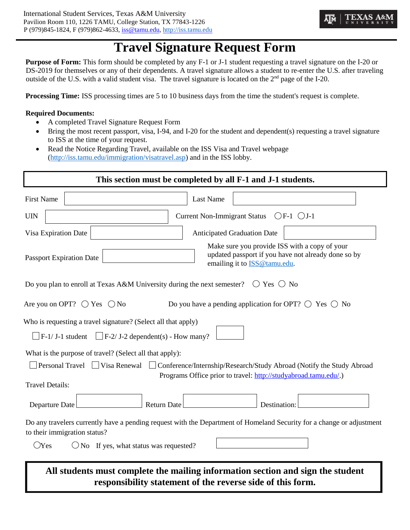# **Travel Signature Request Form**

**Purpose of Form:** This form should be completed by any F-1 or J-1 student requesting a travel signature on the I-20 or DS-2019 for themselves or any of their dependents. A travel signature allows a student to re-enter the U.S. after traveling outside of the U.S. with a valid student visa. The travel signature is located on the  $2<sup>nd</sup>$  page of the I-20.

**Processing Time:** ISS processing times are 5 to 10 business days from the time the student's request is complete.

#### **Required Documents:**

- A completed Travel Signature Request Form
- Bring the most recent passport, visa, I-94, and I-20 for the student and dependent(s) requesting a travel signature to ISS at the time of your request.
- Read the Notice Regarding Travel, available on the ISS Visa and Travel webpage [\(http://iss.tamu.edu/immigration/visatravel.asp\)](http://iss.tamu.edu/immigration/visatravel.asp) and in the ISS lobby.

| This section must be completed by all F-1 and J-1 students.                                                                                                                                                                                                   |  |  |  |  |  |  |  |
|---------------------------------------------------------------------------------------------------------------------------------------------------------------------------------------------------------------------------------------------------------------|--|--|--|--|--|--|--|
| <b>First Name</b><br><b>Last Name</b>                                                                                                                                                                                                                         |  |  |  |  |  |  |  |
| $OF-1$ $OJ-1$<br><b>Current Non-Immigrant Status</b><br><b>UIN</b>                                                                                                                                                                                            |  |  |  |  |  |  |  |
| Visa Expiration Date<br><b>Anticipated Graduation Date</b>                                                                                                                                                                                                    |  |  |  |  |  |  |  |
| Make sure you provide ISS with a copy of your<br>updated passport if you have not already done so by<br><b>Passport Expiration Date</b><br>emailing it to <b>ISS@tamu.edu</b> .                                                                               |  |  |  |  |  |  |  |
| Do you plan to enroll at Texas A&M University during the next semester? $\circ$ Yes $\circ$ No                                                                                                                                                                |  |  |  |  |  |  |  |
| Are you on OPT? $\bigcirc$ Yes $\bigcirc$ No<br>Do you have a pending application for OPT? $\bigcirc$ Yes $\bigcirc$ No                                                                                                                                       |  |  |  |  |  |  |  |
| Who is requesting a travel signature? (Select all that apply)<br>$\Box$ F-1/ J-1 student $\Box$ F-2/ J-2 dependent(s) - How many?                                                                                                                             |  |  |  |  |  |  |  |
| What is the purpose of travel? (Select all that apply):<br>Personal Travel U Visa Renewal U Conference/Internship/Research/Study Abroad (Notify the Study Abroad<br>Programs Office prior to travel: http://studyabroad.tamu.edu/.)<br><b>Travel Details:</b> |  |  |  |  |  |  |  |
| Departure Date<br><b>Return Date</b><br>Destination:                                                                                                                                                                                                          |  |  |  |  |  |  |  |
| Do any travelers currently have a pending request with the Department of Homeland Security for a change or adjustment<br>to their immigration status?<br>$\bigcirc$ Yes<br>$\bigcirc$ No If yes, what status was requested?                                   |  |  |  |  |  |  |  |
| All students must complete the mailing information section and sign the student<br>responsibility statement of the reverse side of this form.                                                                                                                 |  |  |  |  |  |  |  |